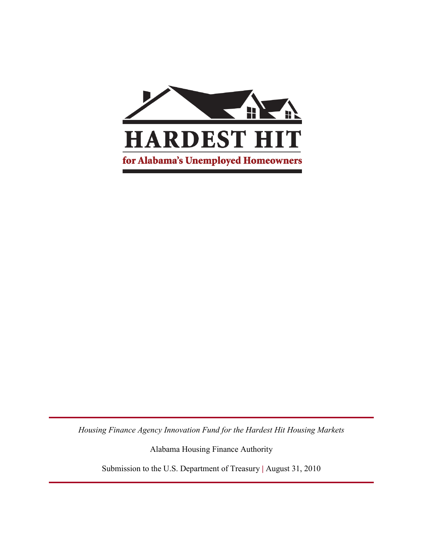

*Housing Finance Agency Innovation Fund for the Hardest Hit Housing Markets*

Alabama Housing Finance Authority

Submission to the U.S. Department of Treasury **|** August 31, 2010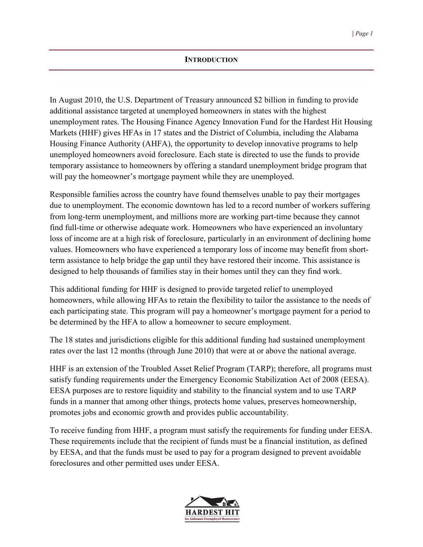#### **INTRODUCTION**

In August 2010, the U.S. Department of Treasury announced \$2 billion in funding to provide additional assistance targeted at unemployed homeowners in states with the highest unemployment rates. The Housing Finance Agency Innovation Fund for the Hardest Hit Housing Markets (HHF) gives HFAs in 17 states and the District of Columbia, including the Alabama Housing Finance Authority (AHFA), the opportunity to develop innovative programs to help unemployed homeowners avoid foreclosure. Each state is directed to use the funds to provide temporary assistance to homeowners by offering a standard unemployment bridge program that will pay the homeowner's mortgage payment while they are unemployed.

Responsible families across the country have found themselves unable to pay their mortgages due to unemployment. The economic downtown has led to a record number of workers suffering from long-term unemployment, and millions more are working part-time because they cannot find full-time or otherwise adequate work. Homeowners who have experienced an involuntary loss of income are at a high risk of foreclosure, particularly in an environment of declining home values. Homeowners who have experienced a temporary loss of income may benefit from shortterm assistance to help bridge the gap until they have restored their income. This assistance is designed to help thousands of families stay in their homes until they can they find work.

This additional funding for HHF is designed to provide targeted relief to unemployed homeowners, while allowing HFAs to retain the flexibility to tailor the assistance to the needs of each participating state. This program will pay a homeowner's mortgage payment for a period to be determined by the HFA to allow a homeowner to secure employment.

The 18 states and jurisdictions eligible for this additional funding had sustained unemployment rates over the last 12 months (through June 2010) that were at or above the national average.

HHF is an extension of the Troubled Asset Relief Program (TARP); therefore, all programs must satisfy funding requirements under the Emergency Economic Stabilization Act of 2008 (EESA). EESA purposes are to restore liquidity and stability to the financial system and to use TARP funds in a manner that among other things, protects home values, preserves homeownership, promotes jobs and economic growth and provides public accountability.

To receive funding from HHF, a program must satisfy the requirements for funding under EESA. These requirements include that the recipient of funds must be a financial institution, as defined by EESA, and that the funds must be used to pay for a program designed to prevent avoidable foreclosures and other permitted uses under EESA.

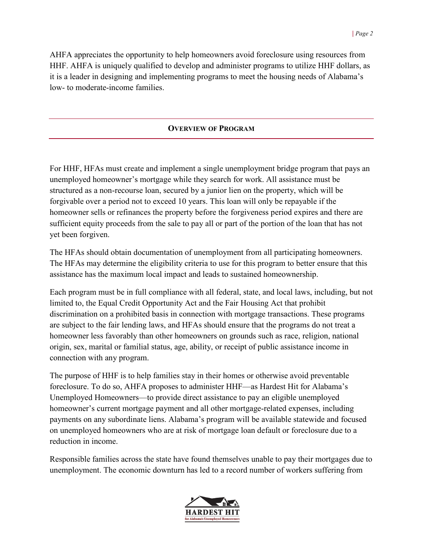AHFA appreciates the opportunity to help homeowners avoid foreclosure using resources from HHF. AHFA is uniquely qualified to develop and administer programs to utilize HHF dollars, as it is a leader in designing and implementing programs to meet the housing needs of Alabama's low- to moderate-income families.

### **OVERVIEW OF PROGRAM**

For HHF, HFAs must create and implement a single unemployment bridge program that pays an unemployed homeowner's mortgage while they search for work. All assistance must be structured as a non-recourse loan, secured by a junior lien on the property, which will be forgivable over a period not to exceed 10 years. This loan will only be repayable if the homeowner sells or refinances the property before the forgiveness period expires and there are sufficient equity proceeds from the sale to pay all or part of the portion of the loan that has not yet been forgiven.

The HFAs should obtain documentation of unemployment from all participating homeowners. The HFAs may determine the eligibility criteria to use for this program to better ensure that this assistance has the maximum local impact and leads to sustained homeownership.

Each program must be in full compliance with all federal, state, and local laws, including, but not limited to, the Equal Credit Opportunity Act and the Fair Housing Act that prohibit discrimination on a prohibited basis in connection with mortgage transactions. These programs are subject to the fair lending laws, and HFAs should ensure that the programs do not treat a homeowner less favorably than other homeowners on grounds such as race, religion, national origin, sex, marital or familial status, age, ability, or receipt of public assistance income in connection with any program.

The purpose of HHF is to help families stay in their homes or otherwise avoid preventable foreclosure. To do so, AHFA proposes to administer HHF—as Hardest Hit for Alabama's Unemployed Homeowners—to provide direct assistance to pay an eligible unemployed homeowner's current mortgage payment and all other mortgage-related expenses, including payments on any subordinate liens. Alabama's program will be available statewide and focused on unemployed homeowners who are at risk of mortgage loan default or foreclosure due to a reduction in income.

Responsible families across the state have found themselves unable to pay their mortgages due to unemployment. The economic downturn has led to a record number of workers suffering from

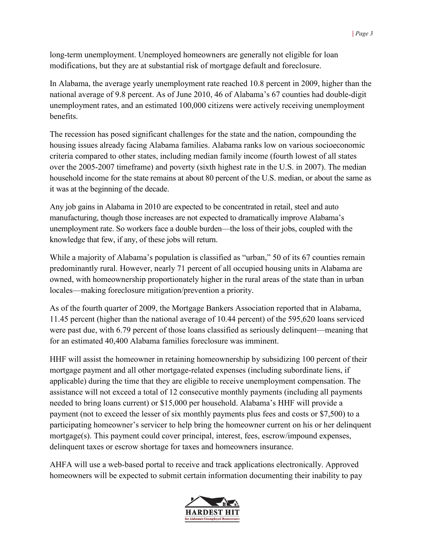long-term unemployment. Unemployed homeowners are generally not eligible for loan modifications, but they are at substantial risk of mortgage default and foreclosure.

In Alabama, the average yearly unemployment rate reached 10.8 percent in 2009, higher than the national average of 9.8 percent. As of June 2010, 46 of Alabama's 67 counties had double-digit unemployment rates, and an estimated 100,000 citizens were actively receiving unemployment benefits.

The recession has posed significant challenges for the state and the nation, compounding the housing issues already facing Alabama families. Alabama ranks low on various socioeconomic criteria compared to other states, including median family income (fourth lowest of all states over the 2005-2007 timeframe) and poverty (sixth highest rate in the U.S. in 2007). The median household income for the state remains at about 80 percent of the U.S. median, or about the same as it was at the beginning of the decade.

Any job gains in Alabama in 2010 are expected to be concentrated in retail, steel and auto manufacturing, though those increases are not expected to dramatically improve Alabama's unemployment rate. So workers face a double burden—the loss of their jobs, coupled with the knowledge that few, if any, of these jobs will return.

While a majority of Alabama's population is classified as "urban," 50 of its 67 counties remain predominantly rural. However, nearly 71 percent of all occupied housing units in Alabama are owned, with homeownership proportionately higher in the rural areas of the state than in urban locales—making foreclosure mitigation/prevention a priority.

As of the fourth quarter of 2009, the Mortgage Bankers Association reported that in Alabama, 11.45 percent (higher than the national average of 10.44 percent) of the 595,620 loans serviced were past due, with 6.79 percent of those loans classified as seriously delinquent—meaning that for an estimated 40,400 Alabama families foreclosure was imminent.

HHF will assist the homeowner in retaining homeownership by subsidizing 100 percent of their mortgage payment and all other mortgage-related expenses (including subordinate liens, if applicable) during the time that they are eligible to receive unemployment compensation. The assistance will not exceed a total of 12 consecutive monthly payments (including all payments needed to bring loans current) or \$15,000 per household. Alabama's HHF will provide a payment (not to exceed the lesser of six monthly payments plus fees and costs or \$7,500) to a participating homeowner's servicer to help bring the homeowner current on his or her delinquent mortgage(s). This payment could cover principal, interest, fees, escrow/impound expenses, delinquent taxes or escrow shortage for taxes and homeowners insurance.

AHFA will use a web-based portal to receive and track applications electronically. Approved homeowners will be expected to submit certain information documenting their inability to pay

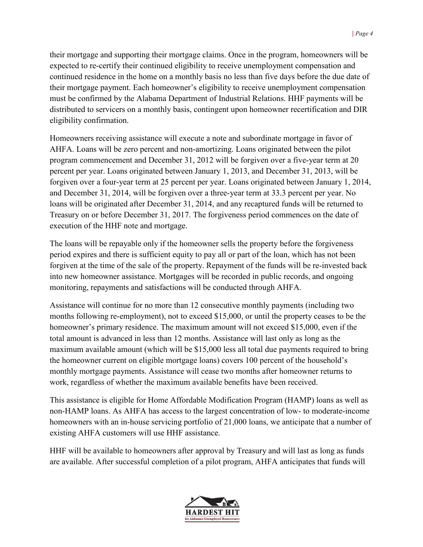their mortgage and supporting their mortgage claims. Once in the program, homeowners will be expected to re-certify their continued eligibility to receive unemployment compensation and continued residence in the home on a monthly basis no less than five days before the due date of their mortgage payment. Each homeowner's eligibility to receive unemployment compensation must be confirmed by the Alabama Department of Industrial Relations. HHF payments will be distributed to servicers on a monthly basis, contingent upon homeowner recertification and DIR eligibility confirmation.

Homeowners receiving assistance will execute a note and subordinate mortgage in favor of AHFA. Loans will be zero percent and non-amortizing. Loans originated between the pilot program commencement and December 31, 2012 will be forgiven over a five-year term at 20 percent per year. Loans originated between January 1, 2013, and December 31, 2013, will be forgiven over a four-year term at 25 percent per year. Loans originated between January 1, 2014, and December 31, 2014, will be forgiven over a three-year term at 33.3 percent per year. No loans will be originated after December 31, 2014, and any recaptured funds will be returned to Treasury on or before December 31, 2017. The forgiveness period commences on the date of execution of the HHF note and mortgage.

The loans will be repayable only if the homeowner sells the property before the forgiveness period expires and there is sufficient equity to pay all or part of the loan, which has not been forgiven at the time of the sale of the property. Repayment of the funds will be re-invested back into new homeowner assistance. Mortgages will be recorded in public records, and ongoing monitoring, repayments and satisfactions will be conducted through AHFA.

Assistance will continue for no more than 12 consecutive monthly payments (including two months following re-employment), not to exceed \$15,000, or until the property ceases to be the homeowner's primary residence. The maximum amount will not exceed \$15,000, even if the total amount is advanced in less than 12 months. Assistance will last only as long as the maximum available amount (which will be \$15,000 less all total due payments required to bring the homeowner current on eligible mortgage loans) covers 100 percent of the household's monthly mortgage payments. Assistance will cease two months after homeowner returns to work, regardless of whether the maximum available benefits have been received.

This assistance is eligible for Home Affordable Modification Program (HAMP) loans as well as non-HAMP loans. As AHFA has access to the largest concentration of low- to moderate-income homeowners with an in-house servicing portfolio of 21,000 loans, we anticipate that a number of existing AHFA customers will use HHF assistance.

HHF will be available to homeowners after approval by Treasury and will last as long as funds are available. After successful completion of a pilot program, AHFA anticipates that funds will

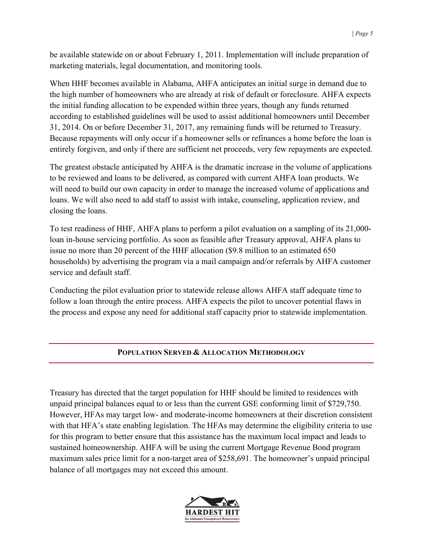be available statewide on or about February 1, 2011. Implementation will include preparation of marketing materials, legal documentation, and monitoring tools.

When HHF becomes available in Alabama, AHFA anticipates an initial surge in demand due to the high number of homeowners who are already at risk of default or foreclosure. AHFA expects the initial funding allocation to be expended within three years, though any funds returned according to established guidelines will be used to assist additional homeowners until December 31, 2014. On or before December 31, 2017, any remaining funds will be returned to Treasury. Because repayments will only occur if a homeowner sells or refinances a home before the loan is entirely forgiven, and only if there are sufficient net proceeds, very few repayments are expected.

The greatest obstacle anticipated by AHFA is the dramatic increase in the volume of applications to be reviewed and loans to be delivered, as compared with current AHFA loan products. We will need to build our own capacity in order to manage the increased volume of applications and loans. We will also need to add staff to assist with intake, counseling, application review, and closing the loans.

To test readiness of HHF, AHFA plans to perform a pilot evaluation on a sampling of its 21,000 loan in-house servicing portfolio. As soon as feasible after Treasury approval, AHFA plans to issue no more than 20 percent of the HHF allocation (\$9.8 million to an estimated 650 households) by advertising the program via a mail campaign and/or referrals by AHFA customer service and default staff.

Conducting the pilot evaluation prior to statewide release allows AHFA staff adequate time to follow a loan through the entire process. AHFA expects the pilot to uncover potential flaws in the process and expose any need for additional staff capacity prior to statewide implementation.

## **POPULATION SERVED & ALLOCATION METHODOLOGY**

Treasury has directed that the target population for HHF should be limited to residences with unpaid principal balances equal to or less than the current GSE conforming limit of \$729,750. However, HFAs may target low- and moderate-income homeowners at their discretion consistent with that HFA's state enabling legislation. The HFAs may determine the eligibility criteria to use for this program to better ensure that this assistance has the maximum local impact and leads to sustained homeownership. AHFA will be using the current Mortgage Revenue Bond program maximum sales price limit for a non-target area of \$258,691. The homeowner's unpaid principal balance of all mortgages may not exceed this amount.

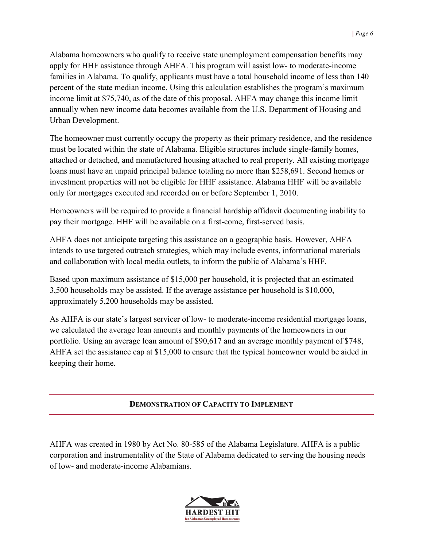Alabama homeowners who qualify to receive state unemployment compensation benefits may apply for HHF assistance through AHFA. This program will assist low- to moderate-income families in Alabama. To qualify, applicants must have a total household income of less than 140 percent of the state median income. Using this calculation establishes the program's maximum income limit at \$75,740, as of the date of this proposal. AHFA may change this income limit annually when new income data becomes available from the U.S. Department of Housing and Urban Development.

The homeowner must currently occupy the property as their primary residence, and the residence must be located within the state of Alabama. Eligible structures include single-family homes, attached or detached, and manufactured housing attached to real property. All existing mortgage loans must have an unpaid principal balance totaling no more than \$258,691. Second homes or investment properties will not be eligible for HHF assistance. Alabama HHF will be available only for mortgages executed and recorded on or before September 1, 2010.

Homeowners will be required to provide a financial hardship affidavit documenting inability to pay their mortgage. HHF will be available on a first-come, first-served basis.

AHFA does not anticipate targeting this assistance on a geographic basis. However, AHFA intends to use targeted outreach strategies, which may include events, informational materials and collaboration with local media outlets, to inform the public of Alabama's HHF.

Based upon maximum assistance of \$15,000 per household, it is projected that an estimated 3,500 households may be assisted. If the average assistance per household is \$10,000, approximately 5,200 households may be assisted.

As AHFA is our state's largest servicer of low- to moderate-income residential mortgage loans, we calculated the average loan amounts and monthly payments of the homeowners in our portfolio. Using an average loan amount of \$90,617 and an average monthly payment of \$748, AHFA set the assistance cap at \$15,000 to ensure that the typical homeowner would be aided in keeping their home.

## **DEMONSTRATION OF CAPACITY TO IMPLEMENT**

AHFA was created in 1980 by Act No. 80-585 of the Alabama Legislature. AHFA is a public corporation and instrumentality of the State of Alabama dedicated to serving the housing needs of low- and moderate-income Alabamians.

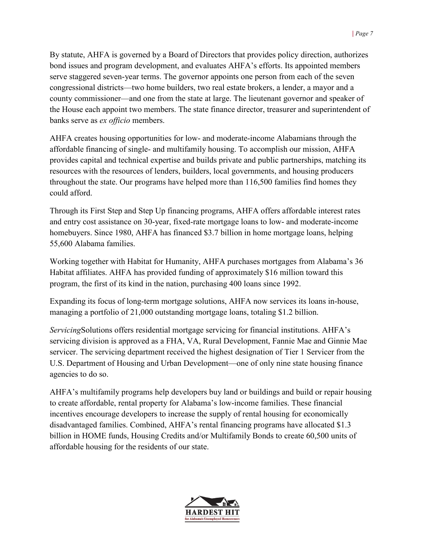By statute, AHFA is governed by a Board of Directors that provides policy direction, authorizes bond issues and program development, and evaluates AHFA's efforts. Its appointed members serve staggered seven-year terms. The governor appoints one person from each of the seven congressional districts—two home builders, two real estate brokers, a lender, a mayor and a county commissioner—and one from the state at large. The lieutenant governor and speaker of the House each appoint two members. The state finance director, treasurer and superintendent of banks serve as *ex officio* members.

AHFA creates housing opportunities for low- and moderate-income Alabamians through the affordable financing of single- and multifamily housing. To accomplish our mission, AHFA provides capital and technical expertise and builds private and public partnerships, matching its resources with the resources of lenders, builders, local governments, and housing producers throughout the state. Our programs have helped more than 116,500 families find homes they could afford.

Through its First Step and Step Up financing programs, AHFA offers affordable interest rates and entry cost assistance on 30-year, fixed-rate mortgage loans to low- and moderate-income homebuyers. Since 1980, AHFA has financed \$3.7 billion in home mortgage loans, helping 55,600 Alabama families.

Working together with Habitat for Humanity, AHFA purchases mortgages from Alabama's 36 Habitat affiliates. AHFA has provided funding of approximately \$16 million toward this program, the first of its kind in the nation, purchasing 400 loans since 1992.

Expanding its focus of long-term mortgage solutions, AHFA now services its loans in-house, managing a portfolio of 21,000 outstanding mortgage loans, totaling \$1.2 billion.

*Servicing*Solutions offers residential mortgage servicing for financial institutions. AHFA's servicing division is approved as a FHA, VA, Rural Development, Fannie Mae and Ginnie Mae servicer. The servicing department received the highest designation of Tier 1 Servicer from the U.S. Department of Housing and Urban Development—one of only nine state housing finance agencies to do so.

AHFA's multifamily programs help developers buy land or buildings and build or repair housing to create affordable, rental property for Alabama's low-income families. These financial incentives encourage developers to increase the supply of rental housing for economically disadvantaged families. Combined, AHFA's rental financing programs have allocated \$1.3 billion in HOME funds, Housing Credits and/or Multifamily Bonds to create 60,500 units of affordable housing for the residents of our state.

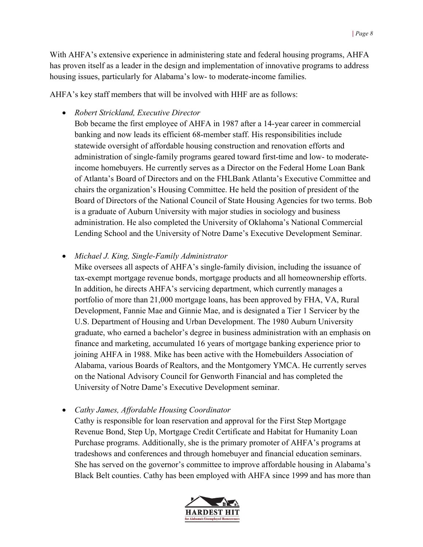With AHFA's extensive experience in administering state and federal housing programs, AHFA has proven itself as a leader in the design and implementation of innovative programs to address housing issues, particularly for Alabama's low- to moderate-income families.

AHFA's key staff members that will be involved with HHF are as follows:

• *Robert Strickland, Executive Director*

Bob became the first employee of AHFA in 1987 after a 14-year career in commercial banking and now leads its efficient 68-member staff. His responsibilities include statewide oversight of affordable housing construction and renovation efforts and administration of single-family programs geared toward first-time and low- to moderateincome homebuyers. He currently serves as a Director on the Federal Home Loan Bank of Atlanta's Board of Directors and on the FHLBank Atlanta's Executive Committee and chairs the organization's Housing Committee. He held the position of president of the Board of Directors of the National Council of State Housing Agencies for two terms. Bob is a graduate of Auburn University with major studies in sociology and business administration. He also completed the University of Oklahoma's National Commercial Lending School and the University of Notre Dame's Executive Development Seminar.

• *Michael J. King, Single-Family Administrator*

Mike oversees all aspects of AHFA's single-family division, including the issuance of tax-exempt mortgage revenue bonds, mortgage products and all homeownership efforts. In addition, he directs AHFA's servicing department, which currently manages a portfolio of more than 21,000 mortgage loans, has been approved by FHA, VA, Rural Development, Fannie Mae and Ginnie Mae, and is designated a Tier 1 Servicer by the U.S. Department of Housing and Urban Development. The 1980 Auburn University graduate, who earned a bachelor's degree in business administration with an emphasis on finance and marketing, accumulated 16 years of mortgage banking experience prior to joining AHFA in 1988. Mike has been active with the Homebuilders Association of Alabama, various Boards of Realtors, and the Montgomery YMCA. He currently serves on the National Advisory Council for Genworth Financial and has completed the University of Notre Dame's Executive Development seminar.

• *Cathy James, Affordable Housing Coordinator*

Cathy is responsible for loan reservation and approval for the First Step Mortgage Revenue Bond, Step Up, Mortgage Credit Certificate and Habitat for Humanity Loan Purchase programs. Additionally, she is the primary promoter of AHFA's programs at tradeshows and conferences and through homebuyer and financial education seminars. She has served on the governor's committee to improve affordable housing in Alabama's Black Belt counties. Cathy has been employed with AHFA since 1999 and has more than

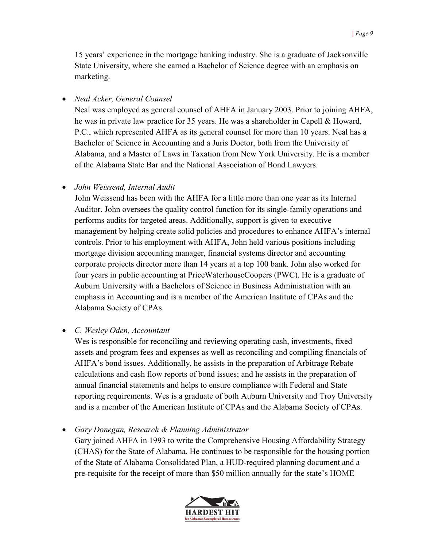15 years' experience in the mortgage banking industry. She is a graduate of Jacksonville State University, where she earned a Bachelor of Science degree with an emphasis on marketing.

• *Neal Acker, General Counsel*

Neal was employed as general counsel of AHFA in January 2003. Prior to joining AHFA, he was in private law practice for 35 years. He was a shareholder in Capell & Howard, P.C., which represented AHFA as its general counsel for more than 10 years. Neal has a Bachelor of Science in Accounting and a Juris Doctor, both from the University of Alabama, and a Master of Laws in Taxation from New York University. He is a member of the Alabama State Bar and the National Association of Bond Lawyers.

• *John Weissend, Internal Audit* 

John Weissend has been with the AHFA for a little more than one year as its Internal Auditor. John oversees the quality control function for its single-family operations and performs audits for targeted areas. Additionally, support is given to executive management by helping create solid policies and procedures to enhance AHFA's internal controls. Prior to his employment with AHFA, John held various positions including mortgage division accounting manager, financial systems director and accounting corporate projects director more than 14 years at a top 100 bank. John also worked for four years in public accounting at PriceWaterhouseCoopers (PWC). He is a graduate of Auburn University with a Bachelors of Science in Business Administration with an emphasis in Accounting and is a member of the American Institute of CPAs and the Alabama Society of CPAs.

• *C. Wesley Oden, Accountant*

Wes is responsible for reconciling and reviewing operating cash, investments, fixed assets and program fees and expenses as well as reconciling and compiling financials of AHFA's bond issues. Additionally, he assists in the preparation of Arbitrage Rebate calculations and cash flow reports of bond issues; and he assists in the preparation of annual financial statements and helps to ensure compliance with Federal and State reporting requirements. Wes is a graduate of both Auburn University and Troy University and is a member of the American Institute of CPAs and the Alabama Society of CPAs.

• *Gary Donegan, Research & Planning Administrator* Gary joined AHFA in 1993 to write the Comprehensive Housing Affordability Strategy (CHAS) for the State of Alabama. He continues to be responsible for the housing portion of the State of Alabama Consolidated Plan, a HUD-required planning document and a pre-requisite for the receipt of more than \$50 million annually for the state's HOME

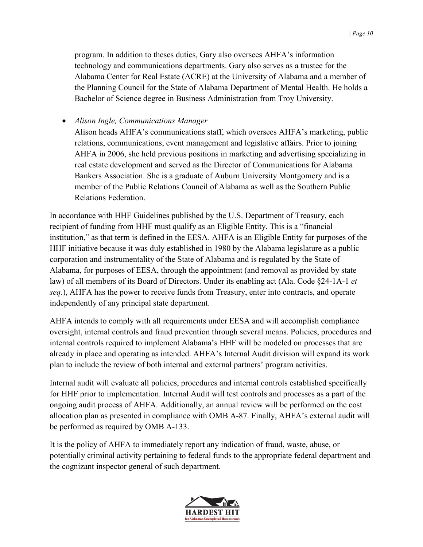program. In addition to theses duties, Gary also oversees AHFA's information technology and communications departments. Gary also serves as a trustee for the Alabama Center for Real Estate (ACRE) at the University of Alabama and a member of the Planning Council for the State of Alabama Department of Mental Health. He holds a Bachelor of Science degree in Business Administration from Troy University.

• *Alison Ingle, Communications Manager*

Alison heads AHFA's communications staff, which oversees AHFA's marketing, public relations, communications, event management and legislative affairs. Prior to joining AHFA in 2006, she held previous positions in marketing and advertising specializing in real estate development and served as the Director of Communications for Alabama Bankers Association. She is a graduate of Auburn University Montgomery and is a member of the Public Relations Council of Alabama as well as the Southern Public Relations Federation.

In accordance with HHF Guidelines published by the U.S. Department of Treasury, each recipient of funding from HHF must qualify as an Eligible Entity. This is a "financial institution," as that term is defined in the EESA. AHFA is an Eligible Entity for purposes of the HHF initiative because it was duly established in 1980 by the Alabama legislature as a public corporation and instrumentality of the State of Alabama and is regulated by the State of Alabama, for purposes of EESA, through the appointment (and removal as provided by state law) of all members of its Board of Directors. Under its enabling act (Ala. Code §24-1A-1 *et seq.*), AHFA has the power to receive funds from Treasury, enter into contracts, and operate independently of any principal state department.

AHFA intends to comply with all requirements under EESA and will accomplish compliance oversight, internal controls and fraud prevention through several means. Policies, procedures and internal controls required to implement Alabama's HHF will be modeled on processes that are already in place and operating as intended. AHFA's Internal Audit division will expand its work plan to include the review of both internal and external partners' program activities.

Internal audit will evaluate all policies, procedures and internal controls established specifically for HHF prior to implementation. Internal Audit will test controls and processes as a part of the ongoing audit process of AHFA. Additionally, an annual review will be performed on the cost allocation plan as presented in compliance with OMB A-87. Finally, AHFA's external audit will be performed as required by OMB A-133.

It is the policy of AHFA to immediately report any indication of fraud, waste, abuse, or potentially criminal activity pertaining to federal funds to the appropriate federal department and the cognizant inspector general of such department.

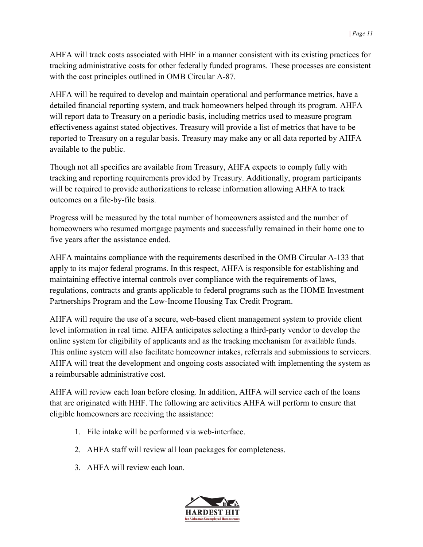AHFA will track costs associated with HHF in a manner consistent with its existing practices for tracking administrative costs for other federally funded programs. These processes are consistent with the cost principles outlined in OMB Circular A-87.

AHFA will be required to develop and maintain operational and performance metrics, have a detailed financial reporting system, and track homeowners helped through its program. AHFA will report data to Treasury on a periodic basis, including metrics used to measure program effectiveness against stated objectives. Treasury will provide a list of metrics that have to be reported to Treasury on a regular basis. Treasury may make any or all data reported by AHFA available to the public.

Though not all specifics are available from Treasury, AHFA expects to comply fully with tracking and reporting requirements provided by Treasury. Additionally, program participants will be required to provide authorizations to release information allowing AHFA to track outcomes on a file-by-file basis.

Progress will be measured by the total number of homeowners assisted and the number of homeowners who resumed mortgage payments and successfully remained in their home one to five years after the assistance ended.

AHFA maintains compliance with the requirements described in the OMB Circular A-133 that apply to its major federal programs. In this respect, AHFA is responsible for establishing and maintaining effective internal controls over compliance with the requirements of laws, regulations, contracts and grants applicable to federal programs such as the HOME Investment Partnerships Program and the Low-Income Housing Tax Credit Program.

AHFA will require the use of a secure, web-based client management system to provide client level information in real time. AHFA anticipates selecting a third-party vendor to develop the online system for eligibility of applicants and as the tracking mechanism for available funds. This online system will also facilitate homeowner intakes, referrals and submissions to servicers. AHFA will treat the development and ongoing costs associated with implementing the system as a reimbursable administrative cost.

AHFA will review each loan before closing. In addition, AHFA will service each of the loans that are originated with HHF. The following are activities AHFA will perform to ensure that eligible homeowners are receiving the assistance:

- 1. File intake will be performed via web-interface.
- 2. AHFA staff will review all loan packages for completeness.
- 3. AHFA will review each loan.

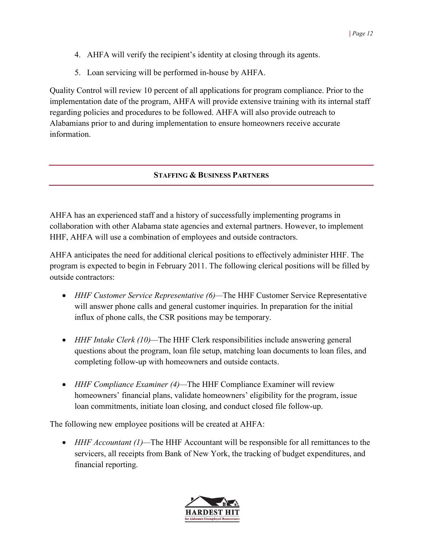- 4. AHFA will verify the recipient's identity at closing through its agents.
- 5. Loan servicing will be performed in-house by AHFA.

Quality Control will review 10 percent of all applications for program compliance. Prior to the implementation date of the program, AHFA will provide extensive training with its internal staff regarding policies and procedures to be followed. AHFA will also provide outreach to Alabamians prior to and during implementation to ensure homeowners receive accurate information.

## **STAFFING & BUSINESS PARTNERS**

AHFA has an experienced staff and a history of successfully implementing programs in collaboration with other Alabama state agencies and external partners. However, to implement HHF, AHFA will use a combination of employees and outside contractors.

AHFA anticipates the need for additional clerical positions to effectively administer HHF. The program is expected to begin in February 2011. The following clerical positions will be filled by outside contractors:

- *HHF Customer Service Representative (6)—*The HHF Customer Service Representative will answer phone calls and general customer inquiries. In preparation for the initial influx of phone calls, the CSR positions may be temporary.
- *HHF Intake Clerk (10)—*The HHF Clerk responsibilities include answering general questions about the program, loan file setup, matching loan documents to loan files, and completing follow-up with homeowners and outside contacts.
- *HHF Compliance Examiner (4)—*The HHF Compliance Examiner will review homeowners' financial plans, validate homeowners' eligibility for the program, issue loan commitments, initiate loan closing, and conduct closed file follow-up.

The following new employee positions will be created at AHFA:

• *HHF Accountant (1)—*The HHF Accountant will be responsible for all remittances to the servicers, all receipts from Bank of New York, the tracking of budget expenditures, and financial reporting.

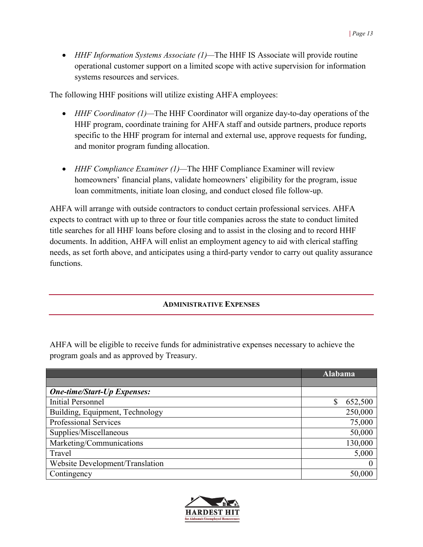• *HHF Information Systems Associate (1)—*The HHF IS Associate will provide routine operational customer support on a limited scope with active supervision for information systems resources and services.

The following HHF positions will utilize existing AHFA employees:

- *HHF Coordinator* (1)—The HHF Coordinator will organize day-to-day operations of the HHF program, coordinate training for AHFA staff and outside partners, produce reports specific to the HHF program for internal and external use, approve requests for funding, and monitor program funding allocation.
- *HHF Compliance Examiner (1)—*The HHF Compliance Examiner will review homeowners' financial plans, validate homeowners' eligibility for the program, issue loan commitments, initiate loan closing, and conduct closed file follow-up.

AHFA will arrange with outside contractors to conduct certain professional services. AHFA expects to contract with up to three or four title companies across the state to conduct limited title searches for all HHF loans before closing and to assist in the closing and to record HHF documents. In addition, AHFA will enlist an employment agency to aid with clerical staffing needs, as set forth above, and anticipates using a third-party vendor to carry out quality assurance functions.

# **ADMINISTRATIVE EXPENSES**

AHFA will be eligible to receive funds for administrative expenses necessary to achieve the program goals and as approved by Treasury.

|                                    | Alabama  |
|------------------------------------|----------|
|                                    |          |
| <b>One-time/Start-Up Expenses:</b> |          |
| <b>Initial Personnel</b>           | 652,500  |
| Building, Equipment, Technology    | 250,000  |
| <b>Professional Services</b>       | 75,000   |
| Supplies/Miscellaneous             | 50,000   |
| Marketing/Communications           | 130,000  |
| Travel                             | 5,000    |
| Website Development/Translation    | $\theta$ |
| Contingency                        | 50,000   |

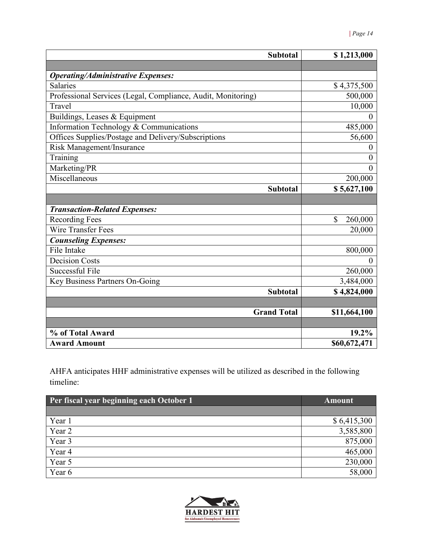| <b>Subtotal</b>                                              | \$1,213,000      |
|--------------------------------------------------------------|------------------|
|                                                              |                  |
| <b>Operating/Administrative Expenses:</b>                    |                  |
| <b>Salaries</b>                                              | \$4,375,500      |
| Professional Services (Legal, Compliance, Audit, Monitoring) | 500,000          |
| Travel                                                       | 10,000           |
| Buildings, Leases & Equipment                                |                  |
| Information Technology & Communications                      | 485,000          |
| Offices Supplies/Postage and Delivery/Subscriptions          | 56,600           |
| Risk Management/Insurance                                    | $\theta$         |
| Training                                                     | $\boldsymbol{0}$ |
| Marketing/PR                                                 | $\theta$         |
| Miscellaneous                                                | 200,000          |
| <b>Subtotal</b>                                              | \$5,627,100      |
|                                                              |                  |
| <b>Transaction-Related Expenses:</b>                         |                  |
| <b>Recording Fees</b>                                        | \$<br>260,000    |
| <b>Wire Transfer Fees</b>                                    | 20,000           |
| <b>Counseling Expenses:</b>                                  |                  |
| File Intake                                                  | 800,000          |
| <b>Decision Costs</b>                                        |                  |
| <b>Successful File</b>                                       | 260,000          |
| Key Business Partners On-Going                               | 3,484,000        |
| <b>Subtotal</b>                                              | \$4,824,000      |
|                                                              |                  |
| <b>Grand Total</b>                                           | \$11,664,100     |
|                                                              |                  |
| % of Total Award                                             | 19.2%            |
| <b>Award Amount</b>                                          | \$60,672,471     |

AHFA anticipates HHF administrative expenses will be utilized as described in the following timeline:

| Per fiscal year beginning each October 1 | <b>Amount</b> |
|------------------------------------------|---------------|
|                                          |               |
| Year 1                                   | \$6,415,300   |
| Year 2                                   | 3,585,800     |
| Year 3                                   | 875,000       |
| Year 4                                   | 465,000       |
| Year 5                                   | 230,000       |
| Year 6                                   | 58,000        |

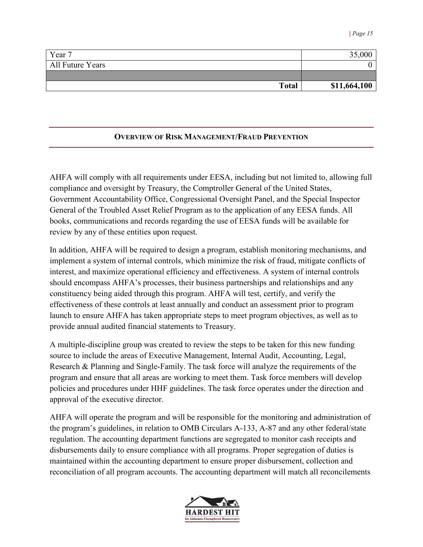| Year 7           | 35,000       |
|------------------|--------------|
| All Future Years |              |
|                  |              |
| <b>Total</b>     | \$11,664,100 |

### **OVERVIEW OF RISK MANAGEMENT/FRAUD PREVENTION**

AHFA will comply with all requirements under EESA, including but not limited to, allowing full compliance and oversight by Treasury, the Comptroller General of the United States, Government Accountability Office, Congressional Oversight Panel, and the Special Inspector General of the Troubled Asset Relief Program as to the application of any EESA funds. All books, communications and records regarding the use of EESA funds will be available for review by any of these entities upon request.

In addition, AHFA will be required to design a program, establish monitoring mechanisms, and implement a system of internal controls, which minimize the risk of fraud, mitigate conflicts of interest, and maximize operational efficiency and effectiveness. A system of internal controls should encompass AHFA's processes, their business partnerships and relationships and any constituency being aided through this program. AHFA will test, certify, and verify the effectiveness of these controls at least annually and conduct an assessment prior to program launch to ensure AHFA has taken appropriate steps to meet program objectives, as well as to provide annual audited financial statements to Treasury.

A multiple-discipline group was created to review the steps to be taken for this new funding source to include the areas of Executive Management, Internal Audit, Accounting, Legal, Research & Planning and Single-Family. The task force will analyze the requirements of the program and ensure that all areas are working to meet them. Task force members will develop policies and procedures under HHF guidelines. The task force operates under the direction and approval of the executive director.

AHFA will operate the program and will be responsible for the monitoring and administration of the program's guidelines, in relation to OMB Circulars A-133, A-87 and any other federal/state regulation. The accounting department functions are segregated to monitor cash receipts and disbursements daily to ensure compliance with all programs. Proper segregation of duties is maintained within the accounting department to ensure proper disbursement, collection and reconciliation of all program accounts. The accounting department will match all reconcilements